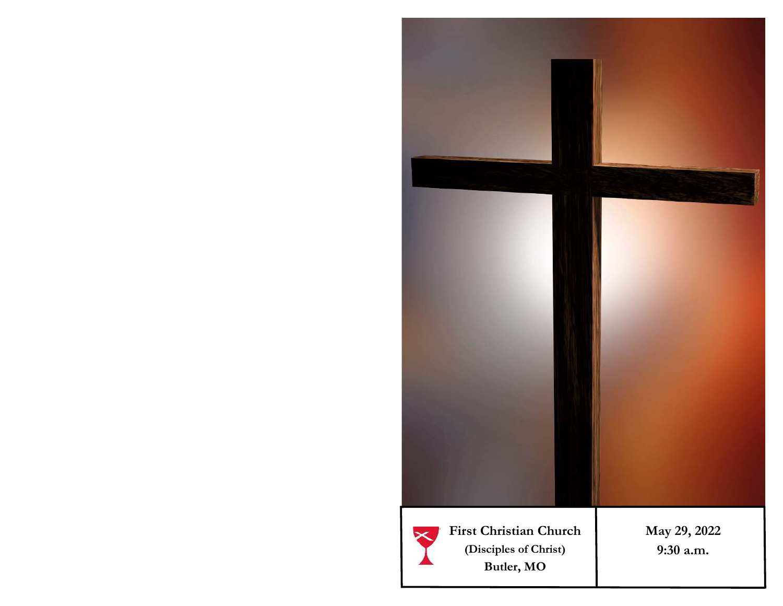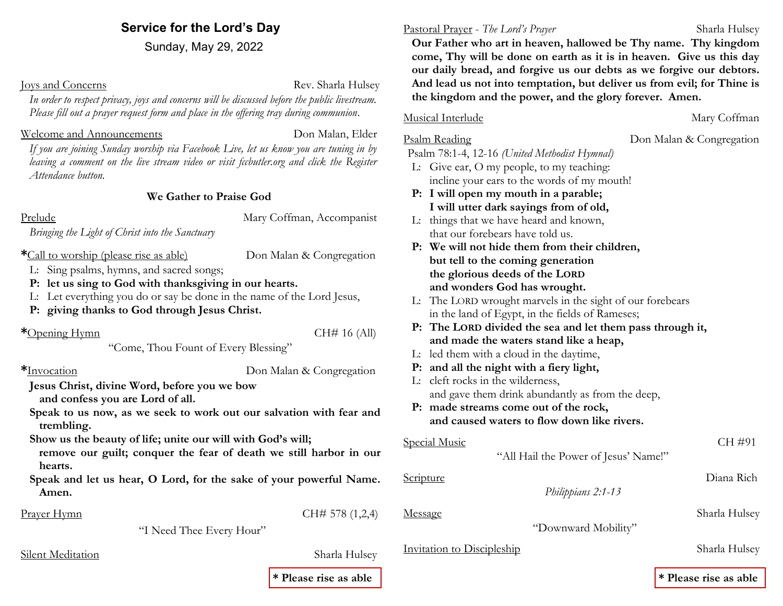### **Service for the Lord's Day**

Sunday, May 29, 2022

**Ioys and Concerns** Rev. Sharla Hulsey

*In order to respect privacy, joys and concerns will be discussed before the public livestream. Please fill out a prayer request form and place in the offering tray during communion*.

#### Welcome and Announcements **Don Malan, Elder**

*If you are joining Sunday worship via Facebook Live, let us know you are tuning in by*  leaving a comment on the live stream video or visit fccbutler.org and click the Register *Attendance button.*

#### **We Gather to Praise God**

Prelude Mary Coffman, Accompanist

*Bringing the Light of Christ into the Sanctuary*

\*Call to worship (please rise as able) Don Malan & Congregation

- L: Sing psalms, hymns, and sacred songs;
- **P: let us sing to God with thanksgiving in our hearts.**
- L: Let everything you do or say be done in the name of the Lord Jesus,
- **P: giving thanks to God through Jesus Christ.**

#### **\***Opening Hymn CH# 16 (All)

"Come, Thou Fount of Every Blessing"

**\***Invocation Don Malan & Congregation

**Jesus Christ, divine Word, before you we bow** 

**and confess you are Lord of all.** 

**Speak to us now, as we seek to work out our salvation with fear and trembling.** 

**Show us the beauty of life; unite our will with God's will;**

- **remove our guilt; conquer the fear of death we still harbor in our hearts.**
- **Speak and let us hear, O Lord, for the sake of your powerful Name. Amen.**

Prayer Hymn CH# 578 (1,2,4)

"I Need Thee Every Hour"

### Silent Meditation Sharla Hulsey

**\* Please rise as able \* Please rise as able**

#### Pastoral Prayer - *The Lord's Prayer* Sharla Hulsey

 **Our Father who art in heaven, hallowed be Thy name. Thy kingdom come, Thy will be done on earth as it is in heaven. Give us this day our daily bread, and forgive us our debts as we forgive our debtors. And lead us not into temptation, but deliver us from evil; for Thine is the kingdom and the power, and the glory forever. Amen.**

#### Musical Interlude Mary Coffman

Psalm 78:1-4, 12-16 *(United Methodist Hymnal)*

- L: Give ear, O my people, to my teaching: incline your ears to the words of my mouth!
- **P: I will open my mouth in a parable; I will utter dark sayings from of old,**
- L: things that we have heard and known, that our forebears have told us.
- **P: We will not hide them from their children, but tell to the coming generation the glorious deeds of the LORD and wonders God has wrought.**
- L: The LORD wrought marvels in the sight of our forebears in the land of Egypt, in the fields of Rameses;
- **P: The LORD divided the sea and let them pass through it, and made the waters stand like a heap,**
- L: led them with a cloud in the daytime,
- **P: and all the night with a fiery light,**
- L: cleft rocks in the wilderness, and gave them drink abundantly as from the deep,
- **P: made streams come out of the rock, and caused waters to flow down like rivers.**

| CH #91        |
|---------------|
|               |
| Diana Rich    |
|               |
| Sharla Hulsey |
|               |
|               |

Invitation to Discipleship Sharla Hulsey

Psalm Reading **Don Malan & Congregation**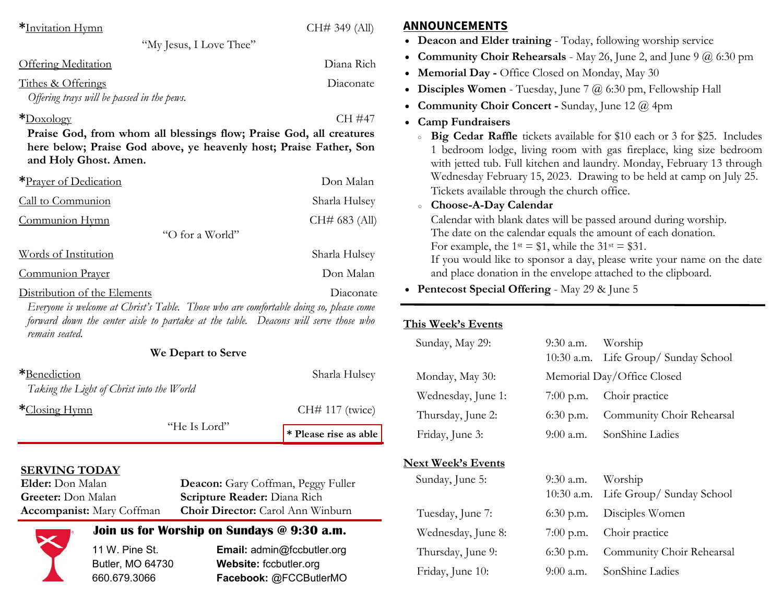| *Invitation Hymn                                                                                                                                                                                | CH# 349 (All) | <b>ANNOUNCEMENTS</b>                                                                                                                                                                                           |                                      |  |
|-------------------------------------------------------------------------------------------------------------------------------------------------------------------------------------------------|---------------|----------------------------------------------------------------------------------------------------------------------------------------------------------------------------------------------------------------|--------------------------------------|--|
| "My Jesus, I Love Thee"                                                                                                                                                                         |               | • Deacon and Elder training - Today, following worship service                                                                                                                                                 |                                      |  |
| <b>Offering Meditation</b>                                                                                                                                                                      | Diana Rich    | • Community Choir Rehearsals - May 26, June 2, and June 9 $@$ 6:<br>• Memorial Day - Office Closed on Monday, May 30                                                                                           |                                      |  |
| Tithes & Offerings<br>Offering trays will be passed in the pews.                                                                                                                                | Diaconate     | • Disciples Women - Tuesday, June 7 $@$ 6:30 pm, Fellowship Hall<br>• Community Choir Concert - Sunday, June 12 $\omega$ 4pm                                                                                   |                                      |  |
| $*$ Doxology                                                                                                                                                                                    | CH #47        | • Camp Fundraisers                                                                                                                                                                                             |                                      |  |
| Praise God, from whom all blessings flow; Praise God, all creatures<br>here below; Praise God above, ye heavenly host; Praise Father, Son<br>and Holy Ghost. Amen.                              |               | Big Cedar Raffle tickets available for \$10 each or 3 for \$25. I<br>$\circ$<br>1 bedroom lodge, living room with gas fireplace, king size b<br>with jetted tub. Full kitchen and laundry. Monday, February 13 |                                      |  |
| *Prayer of Dedication                                                                                                                                                                           | Don Malan     | Wednesday February 15, 2023. Drawing to be held at camp on J<br>Tickets available through the church office.                                                                                                   |                                      |  |
| Call to Communion                                                                                                                                                                               | Sharla Hulsey | Choose-A-Day Calendar<br>$\circ$                                                                                                                                                                               |                                      |  |
| Communion Hymn                                                                                                                                                                                  | CH# 683 (All) | Calendar with blank dates will be passed around during worship.                                                                                                                                                |                                      |  |
| "O for a World"                                                                                                                                                                                 |               | The date on the calendar equals the amount of each donation.                                                                                                                                                   |                                      |  |
| Words of Institution                                                                                                                                                                            | Sharla Hulsey | For example, the $1^{st} = $1$ , while the $31^{st} = $31$ .<br>If you would like to sponsor a day, please write your name on                                                                                  |                                      |  |
| Communion Prayer                                                                                                                                                                                | Don Malan     | and place donation in the envelope attached to the clipboard.                                                                                                                                                  |                                      |  |
| Distribution of the Elements                                                                                                                                                                    | Diaconate     | • Pentecost Special Offering - May 29 & June 5                                                                                                                                                                 |                                      |  |
| Everyone is welcome at Christ's Table. Those who are comfortable doing so, please come<br>forward down the center aisle to partake at the table. Deacons will serve those who<br>remain seated. |               | This Week's Events                                                                                                                                                                                             | Worship<br>$9:30$ a.m.               |  |
| We Depart to Serve                                                                                                                                                                              |               | Sunday, May 29:                                                                                                                                                                                                | $10.30$ a.m. Life Group/Sunday Schoo |  |

| *Benediction<br>Taking the Light of Christ into the World | Sharla Hulsey                           |
|-----------------------------------------------------------|-----------------------------------------|
| *Closing Hymn                                             | $CH# 117$ (twice)                       |
|                                                           | "He Is Lord"<br>$*$ Please rise as able |

## **SERVING TODAY**<br>**Elder:** Don Malan

**Deacon:** Gary Coffman, Peggy Fuller **Greeter:** Don Malan **Scripture Reader:** Diana Rich **Accompanist:** Mary Coffman **Choir Director:** Carol Ann Winburn

## **Join us for Worship on Sundays @ 9:30 a.m.**

11 W. Pine St. **Email:** admin@fccbutler.org Butler, MO 64730 **Website:** fccbutler.org 660.679.3066 **Facebook:** @FCCButlerMO • **Community Choir Rehearsals** - May 26, June 2, and June 9 @ 6:30 pm

○ **Big Cedar Raffle** tickets available for \$10 each or 3 for \$25. Includes 1 bedroom lodge, living room with gas fireplace, king size bedroom th rough Wednesday February 15, 2023. Drawing to be held at camp on July 25.

Calendar with blank dates will be passed around during worship. If you would like to sponsor a day, please write your name on the date

| Sunday, May 29:    | $9:30$ a.m. Worship        | 10:30 a.m. Life Group/Sunday School |
|--------------------|----------------------------|-------------------------------------|
| Monday, May 30:    | Memorial Day/Office Closed |                                     |
| Wednesday, June 1: | $7:00$ p.m.                | Choir practice                      |
| Thursday, June 2:  | $6:30$ p.m.                | Community Choir Rehearsal           |
| Friday, June 3:    |                            | 9:00 a.m. SonShine Ladies           |

## **Next Week's Events**

| Sunday, June 5:    | $9:30$ a.m. Worship | 10:30 a.m. Life Group/Sunday School |
|--------------------|---------------------|-------------------------------------|
| Tuesday, June 7:   | $6:30$ p.m.         | Disciples Women                     |
| Wednesday, June 8: |                     | 7:00 p.m. Choir practice            |
| Thursday, June 9:  | $6:30$ p.m.         | Community Choir Rehearsal           |
| Friday, June 10:   | $9(00)$ a.m.        | SonShine Ladies                     |